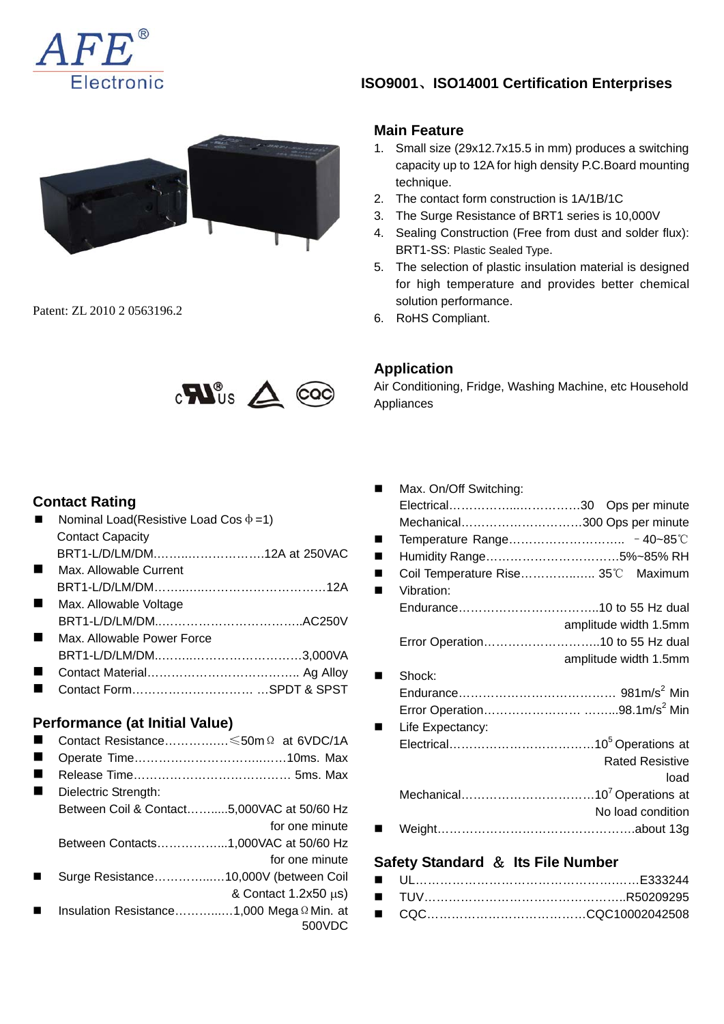



Patent: ZL 2010 2 0563196.2



### **Contact Rating**

| Nominal Load(Resistive Load Cos $\Phi = 1$ ) |                                            |
|----------------------------------------------|--------------------------------------------|
| <b>Contact Capacity</b>                      |                                            |
| BRT1-L/D/LM/DM12A at 250VAC                  |                                            |
| Max. Allowable Current                       |                                            |
|                                              |                                            |
| Max. Allowable Voltage                       |                                            |
|                                              |                                            |
| Max, Allowable Power Force                   |                                            |
|                                              |                                            |
|                                              |                                            |
|                                              |                                            |
|                                              |                                            |
| Performance (at Initial Value)               |                                            |
|                                              | Contact Resistance ≤50m Ω at 6VDC/1A       |
|                                              |                                            |
|                                              |                                            |
| Dielectric Strength:                         |                                            |
|                                              | Between Coil & Contact5,000VAC at 50/60 Hz |
|                                              | for one minute                             |
|                                              | Between Contacts1,000VAC at 50/60 Hz       |
|                                              | for one minute                             |
|                                              | Surge Resistance10,000V (between Coil      |
|                                              | & Contact $1.2x50 \mu s$ )                 |
|                                              | Insulation Resistance1,000 Mega Ω Min. at  |
|                                              | 500VDC                                     |

# **ISO9001**、**ISO14001 Certification Enterprises**

#### **Main Feature**

- 1. Small size (29x12.7x15.5 in mm) produces a switching capacity up to 12A for high density P.C.Board mounting technique.
- 2. The contact form construction is 1A/1B/1C
- 3. The Surge Resistance of BRT1 series is 10,000V
- 4. Sealing Construction (Free from dust and solder flux): BRT1-SS: Plastic Sealed Type.
- 5. The selection of plastic insulation material is designed for high temperature and provides better chemical solution performance.
- 6. RoHS Compliant.

### **Application**

Air Conditioning, Fridge, Washing Machine, etc Household Appliances

|                                      | Max. On/Off Switching: |                                    |  |  |
|--------------------------------------|------------------------|------------------------------------|--|--|
|                                      |                        | Electrical30 Ops per minute        |  |  |
|                                      |                        | Mechanical300 Ops per minute       |  |  |
|                                      |                        |                                    |  |  |
| ٠                                    |                        | Humidity Range5%~85% RH            |  |  |
|                                      |                        | Coil Temperature Rise 35°C Maximum |  |  |
|                                      | Vibration:             |                                    |  |  |
|                                      |                        |                                    |  |  |
|                                      |                        | amplitude width 1.5mm              |  |  |
|                                      |                        | Error Operation10 to 55 Hz dual    |  |  |
|                                      |                        | amplitude width 1.5mm              |  |  |
|                                      | Shock:                 |                                    |  |  |
|                                      |                        |                                    |  |  |
|                                      |                        |                                    |  |  |
|                                      | Life Expectancy:       |                                    |  |  |
|                                      |                        |                                    |  |  |
|                                      |                        | <b>Rated Resistive</b>             |  |  |
|                                      |                        | load                               |  |  |
|                                      |                        |                                    |  |  |
|                                      |                        | No load condition                  |  |  |
|                                      |                        |                                    |  |  |
|                                      |                        |                                    |  |  |
| Safety Standard $\&$ Its File Number |                        |                                    |  |  |